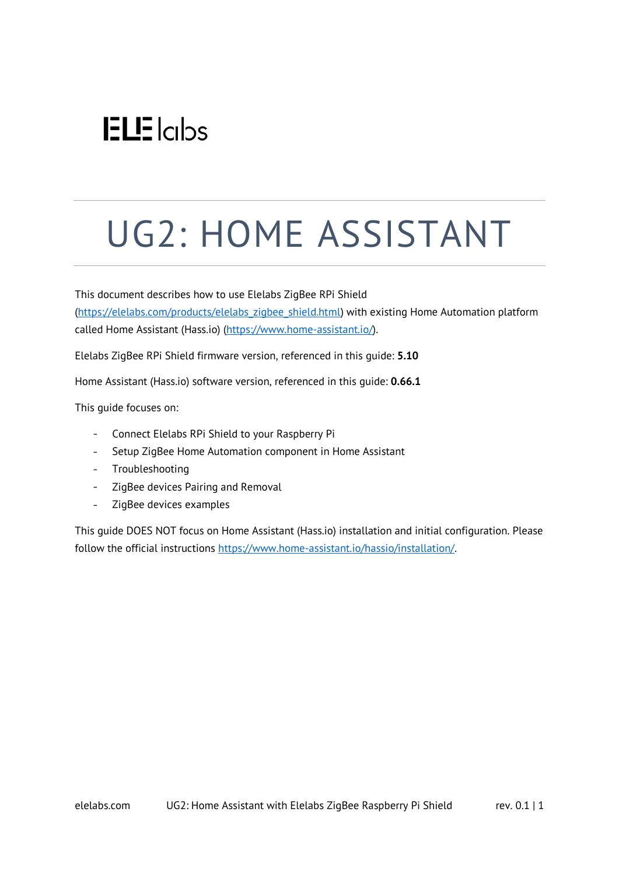# $ELE$ <sub>Icips</sub>

# UG2: HOME ASSISTANT

This document describes how to use Elelabs ZigBee RPi Shield [\(https://elelabs.com/products/elelabs\\_zigbee\\_shield.html\)](https://elelabs.com/products/elelabs_zigbee_shield.html) with existing Home Automation platform called Home Assistant (Hass.io) [\(https://www.home-assistant.io/\)](https://www.home-assistant.io/).

Elelabs ZigBee RPi Shield firmware version, referenced in this guide: **5.10**

Home Assistant (Hass.io) software version, referenced in this guide: **0.66.1**

This guide focuses on:

- Connect Elelabs RPi Shield to your Raspberry Pi  $\omega_{\rm{max}}$
- Setup ZigBee Home Automation component in Home Assistant  $\omega_{\rm{max}}$
- Troubleshooting
- ZigBee devices Pairing and Removal  $\omega_{\rm{max}}$
- $\Box$ ZigBee devices examples

This guide DOES NOT focus on Home Assistant (Hass.io) installation and initial configuration. Please follow the official instructions [https://www.home-assistant.io/hassio/installation/.](https://www.home-assistant.io/hassio/installation/)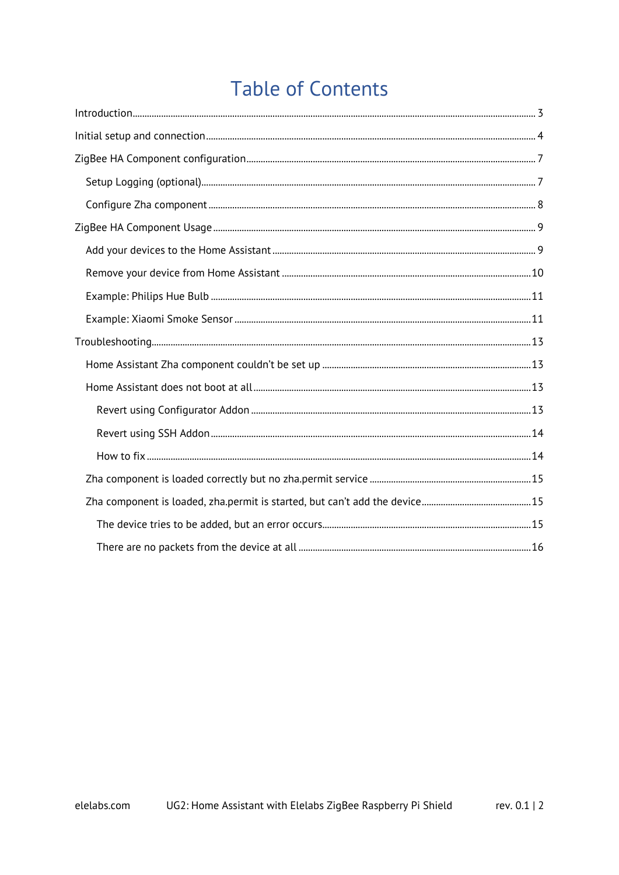## **Table of Contents**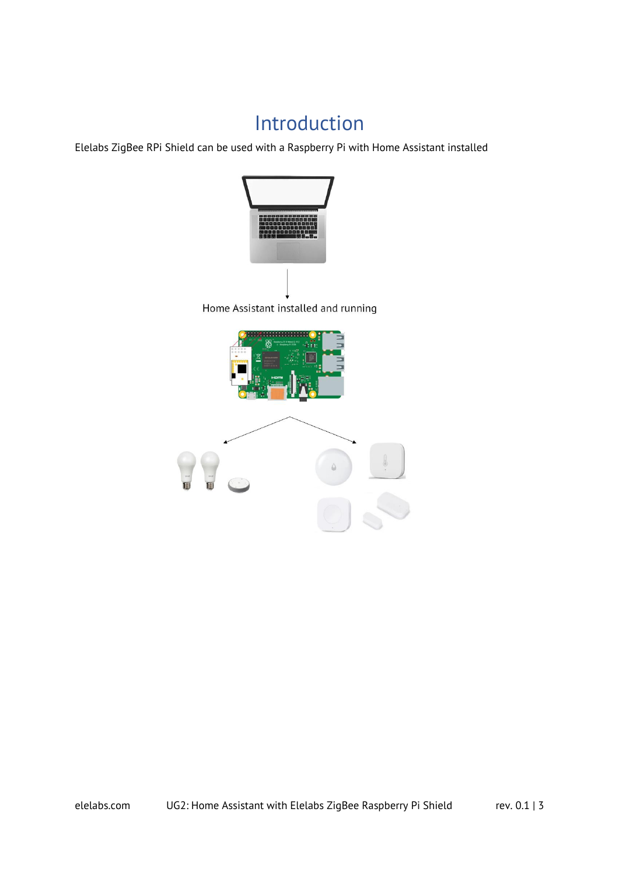### Introduction

<span id="page-2-0"></span>Elelabs ZigBee RPi Shield can be used with a Raspberry Pi with Home Assistant installed

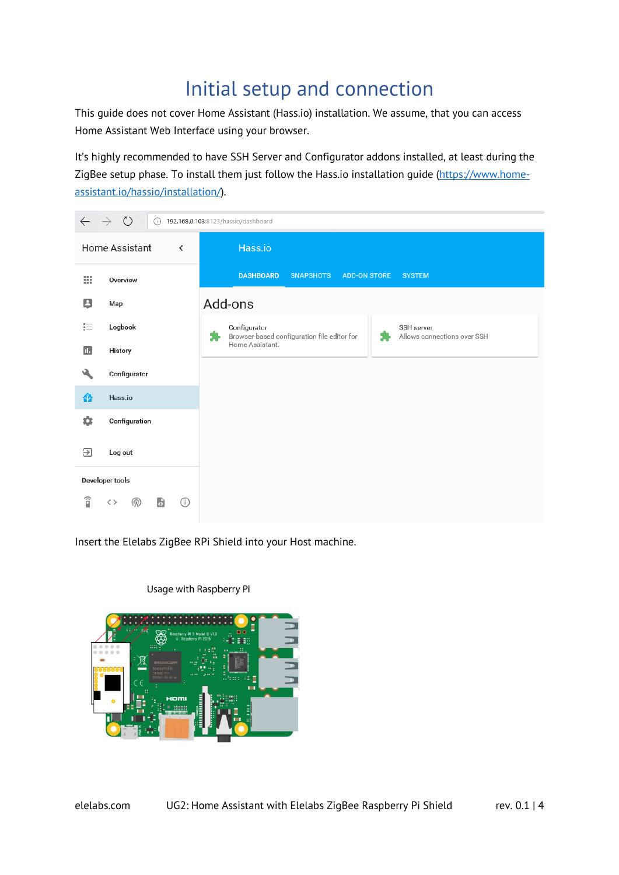### Initial setup and connection

<span id="page-3-0"></span>This guide does not cover Home Assistant (Hass.io) installation. We assume, that you can access Home Assistant Web Interface using your browser.

It's highly recommended to have SSH Server and Configurator addons installed, at least during the ZigBee setup phase. To install them just follow the Hass.io installation guide [\(https://www.home](https://www.home-assistant.io/hassio/installation/)[assistant.io/hassio/installation/\)](https://www.home-assistant.io/hassio/installation/).



Insert the Elelabs ZigBee RPi Shield into your Host machine.



Usage with Raspberry Pi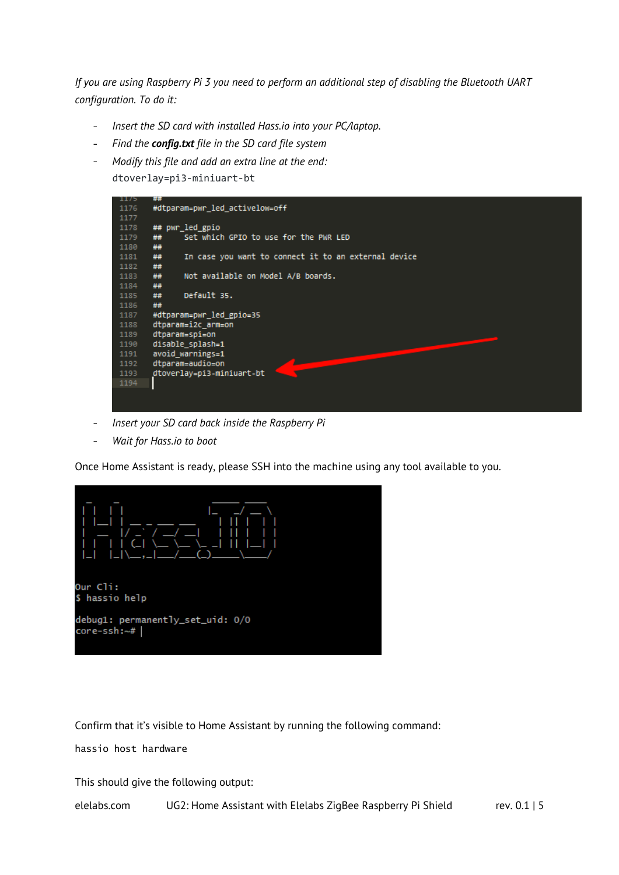*If you are using Raspberry Pi 3 you need to perform an additional step of disabling the Bluetooth UART configuration. To do it:*

- *Insert the SD card with installed Hass.io into your PC/laptop.*  $\sim$
- *Find the config.txt file in the SD card file system*
- *Modify this file and add an extra line at the end:*  dtoverlay=pi3-miniuart-bt



- $\mathcal{L}^{\text{max}}$ *Insert your SD card back inside the Raspberry Pi*
- *Wait for Hass.io to boot*  $\overline{a}$

Once Home Assistant is ready, please SSH into the machine using any tool available to you.



Confirm that it's visible to Home Assistant by running the following command:

hassio host hardware

This should give the following output:

elelabs.com UG2: Home Assistant with Elelabs ZigBee Raspberry Pi Shield rev. 0.1 | 5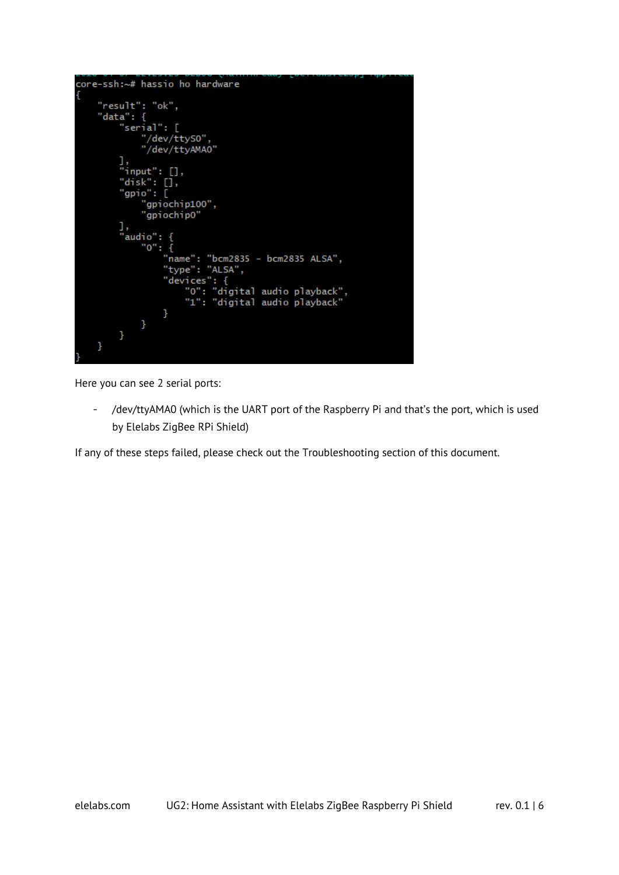```
core-ssh:~# hassio ho hardware
      "result": "ok",<br>"data": {
            "serial": [
                  "/dev/ttyS0",<br>"/dev/ttyAMA0"
            ı,
              input" : [],
            "disk": [],
              gpio": \overline{[}"gpiochip100",
                   "gpiochip0"
            ],<br>"audio": {<br>"0": {
                   "o": {
                         "name": "bcm2835 - bcm2835 ALSA",
                         "type": "ALSA",
                         "devices": {<br>"devices": {<br>"0": "digital audio playback",<br>"1": "digital audio playback"
                         }
                  }
            \mathcal{F}}
```
Here you can see 2 serial ports:

/dev/ttyAMA0 (which is the UART port of the Raspberry Pi and that's the port, which is used  $\Delta \sim 10^4$ by Elelabs ZigBee RPi Shield)

If any of these steps failed, please check out the Troubleshooting section of this document.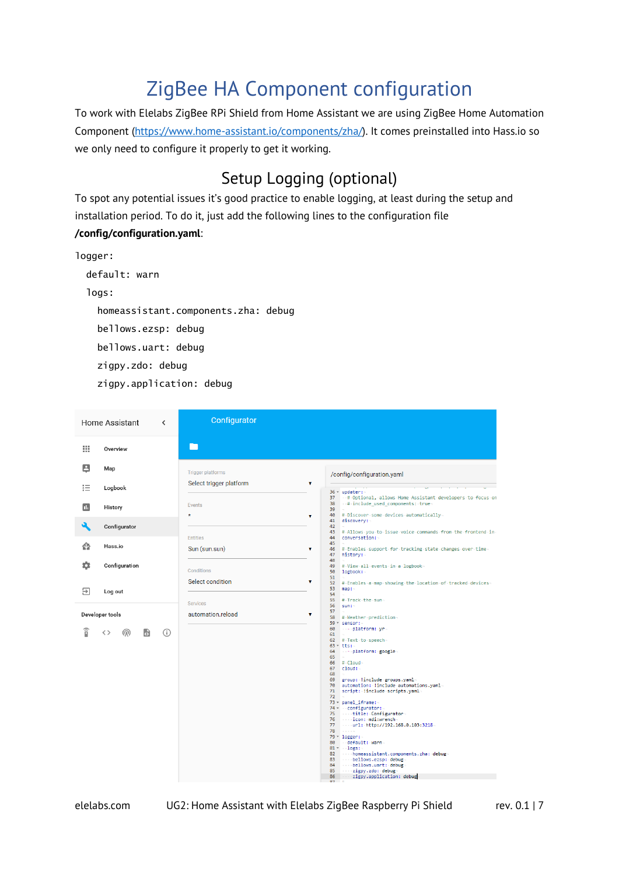## ZigBee HA Component configuration

<span id="page-6-0"></span>To work with Elelabs ZigBee RPi Shield from Home Assistant we are using ZigBee Home Automation Component [\(https://www.home-assistant.io/components/zha/\)](https://www.home-assistant.io/components/zha/). It comes preinstalled into Hass.io so we only need to configure it properly to get it working.

### Setup Logging (optional)

<span id="page-6-1"></span>To spot any potential issues it's good practice to enable logging, at least during the setup and installation period. To do it, just add the following lines to the configuration file **/config/configuration.yaml**:

```
logger:
   default: warn
   logs:
     homeassistant.components.zha: debug
     bellows.ezsp: debug
     bellows.uart: debug
     zigpy.zdo: debug
     zigpy.application: debug
```

```
Configurator
Home Assistant
                                                   \epsilonП
 排
              Overview
 \boxed{2}Map
                                                                     Trigger platform
                                                                                                                                                                /config/configuration.yaml
                                                                     Select trigger platform
                                                                                                                                                  ÿ
狂
              Logbook
                                                                                                                                                                36 - updater:<br>37 - # Optional, allows Home Assistant developers to focus on<br>38 - # include_used_components: true
                                                                     Events
 \blacksquareHistory
                                                                                                                                                                \frac{1}{39}#-Discover-some-devices-automatically-<br>discovery:-
                                                                     \ddot{\phantom{1}}\frac{40}{41}\overline{\mathbf{a}}Configurator
                                                                                                                                                                42=<br>#-Allows-you-to-issue-voice-commands-from-the-frontend-in<br>conversation:-
                                                                                                                                                                43<br>44<br>45<br>46<br>48<br>49<br>58
                                                                    Entities
 合
              Hass.io
                                                                     Sun (sun.sun)
                                                                                                                                                                      =<br>#-Enables-support-for-tracking-state-changes-over-time<br>history:-
 ά
              Configuration
                                                                                                                                                                       #View all events in a logbook
                                                                    Conditions
                                                                                                                                                                58<br>51<br>52<br>53
                                                                    Select condition
                                                                                                                                                                      #-Enables-a-map-showing-the-location-of-tracked-devices<br>man:-
 \RightarrowLog out
                                                                                                                                                                \frac{5}{55}# Track the sun
                                                                    Services
                                                                                                                                                                       Euro
                                                                                                                                                                57
Developer tools
                                                                     automation reload
                                                                                                                                                                57<br>58 # Weather prediction<br>59 * sensor:-
                                                                                                                                                                           - platform: yr
                                                                                                                                                                60
  旨
             \langle \rangleஇ
                                       局
                                                   \odot61
                                                                                                                                                               61 –<br>62 # Text to speech-<br>63 * tts:-<br>64 – Platform: google
                                                                                                                                                               64<br>65
                                                                                                                                                                     #-Cloud<br>cloud:-
                                                                                                                                                               68<br>69<br>70<br>71<br>72
                                                                                                                                                                     –<br>group: :linclude groups.yaml–<br>automation: :linclude automations.yaml<br>script: :linclude scripts.yaml–
                                                                                                                                                                -<br>73 × panel_iframe:<br>74 × ∴configurato
                                                                                                                                                                          anei_irramer<br>-configurator:-<br>- -title: Configurator<br>- -icon:-mdi:wrench-<br>- -url: http://192.168.0.103:3218
                                                                                                                                                                rac{1}{75}<br>76
                                                                                                                                                               \frac{1}{77}\frac{1}{78}78<br>- Mary Logger:-<br>80 - default: warn<br>82 - - homeassistant.components.zha: debug-<br>83 - - - bellows.casp: debug-<br>84 - - bellows.uart: debug-
                                                                                                                                                                           83<br>84<br>85
                                                                                                                                                               86
```
elelabs.com UG2: Home Assistant with Elelabs ZigBee Raspberry Pi Shield rev. 0.1 | 7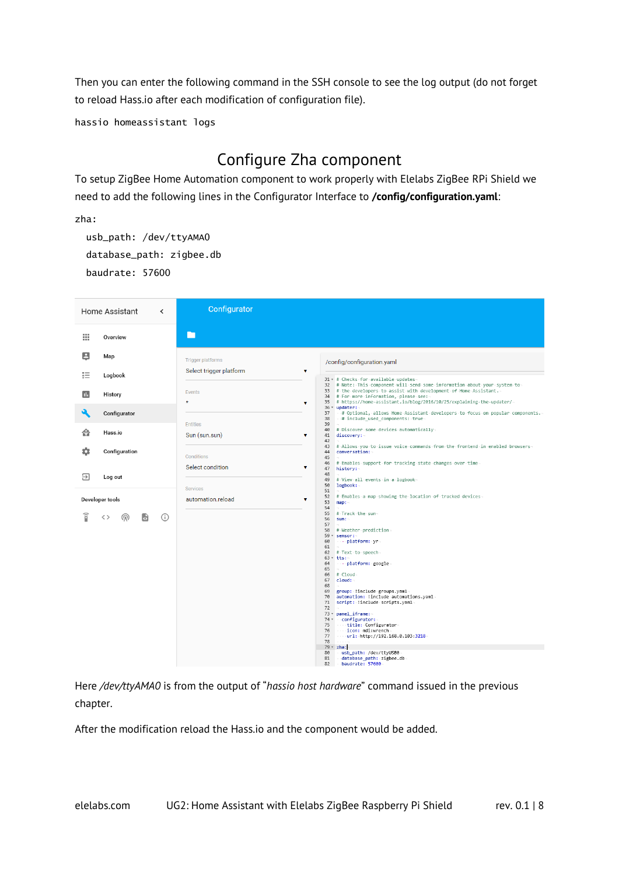Then you can enter the following command in the SSH console to see the log output (do not forget to reload Hass.io after each modification of configuration file).

hassio homeassistant logs

### Configure Zha component

<span id="page-7-0"></span>To setup ZigBee Home Automation component to work properly with Elelabs ZigBee RPi Shield we need to add the following lines in the Configurator Interface to **/config/configuration.yaml**:

zha:

 usb\_path: /dev/ttyAMA0 database\_path: zigbee.db baudrate: 57600

|    | Home Assistant  | $\overline{\phantom{a}}$ | Configurator             |                                                                                                                                                                                                                                                                                                                                                                                                                                                                                                                                                                                                                                                                           |
|----|-----------------|--------------------------|--------------------------|---------------------------------------------------------------------------------------------------------------------------------------------------------------------------------------------------------------------------------------------------------------------------------------------------------------------------------------------------------------------------------------------------------------------------------------------------------------------------------------------------------------------------------------------------------------------------------------------------------------------------------------------------------------------------|
| 排  | Overview        |                          | П                        |                                                                                                                                                                                                                                                                                                                                                                                                                                                                                                                                                                                                                                                                           |
| 8  | Map             |                          | <b>Trigger platforms</b> | /config/configuration.yaml                                                                                                                                                                                                                                                                                                                                                                                                                                                                                                                                                                                                                                                |
| 拒  | Logbook         |                          | Select trigger platform  | $\overline{\mathbf{v}}$<br>31 - # Checks for available updates                                                                                                                                                                                                                                                                                                                                                                                                                                                                                                                                                                                                            |
| п. | History         |                          | Events<br>$\star$        | 32 # Note: This component will send some information about your system to<br>33 # the developers to assist with development of Home Assistant.<br>34 # For more information, please see:<br>35 # https://home-assistant.io/blog/2016/10/25/explaining-the-updater/-<br>$\pmb{\mathrm{v}}$                                                                                                                                                                                                                                                                                                                                                                                 |
|    | Configurator    |                          | <b>Entities</b>          | 36 * updater:<br>37<br>-# Optional, allows Home Assistant developers to focus on popular components. #<br># include_used_components: true-<br>38<br>39                                                                                                                                                                                                                                                                                                                                                                                                                                                                                                                    |
| ⋒  | Hass.io         |                          | Sun (sun.sun)            | # Discover some devices automatically<br>40<br>41<br>v<br>discovery:                                                                                                                                                                                                                                                                                                                                                                                                                                                                                                                                                                                                      |
|    | Configuration   |                          | Conditions               | 42<br># Allows you to issue voice commands from the frontend in enabled browsers-<br>43<br>44<br>conversation:<br>45<br># Enables support for tracking state changes over time<br>46                                                                                                                                                                                                                                                                                                                                                                                                                                                                                      |
| Э  | Log out         |                          | Select condition         | $\pmb{\mathrm{v}}$<br>47<br>history:-<br>48                                                                                                                                                                                                                                                                                                                                                                                                                                                                                                                                                                                                                               |
|    |                 |                          | Services                 | 49<br># View all events in a logbook-<br>50<br>logbook:<br>51                                                                                                                                                                                                                                                                                                                                                                                                                                                                                                                                                                                                             |
|    | Developer tools |                          | automation.reload        | # Enables a map showing the location of tracked devices<br>52<br>v<br>53<br>map:                                                                                                                                                                                                                                                                                                                                                                                                                                                                                                                                                                                          |
| î  | ൘<br>くゝ<br>сJ   | (i)                      |                          | 54<br>55<br># Track - the - sun-<br>56<br>sum:<br>57<br>58 # Weather prediction<br>59 * sensor:<br>60<br>---- platform: .vr-<br>61<br>62 # Text to speech-<br>$63 - tts$ :<br>64<br>- - platform: google<br>65<br>$66$ # Cloud-<br>$67$ $cloud:$<br>68<br>69 group: !include groups.yaml<br>70 automation: !include automations.yaml-<br>71 script: linclude scripts.yaml<br>72<br>73 - panel_iframe:<br>74 v configurator:<br>75 title: Configurator<br>76 icon: mdi:wrench<br>77 \: url: http://192.168.0.103:3218<br>78<br>$\alpha$ - $\alpha$ - $\alpha$ -<br>$79 - zha$ :<br>80<br>usb_path: /dev/ttyUSB0<br>81<br>database_path: zigbee.db<br>baudrate: 57600<br>82 |

Here */dev/ttyAMA0* is from the output of "*hassio host hardware*" command issued in the previous chapter.

After the modification reload the Hass.io and the component would be added.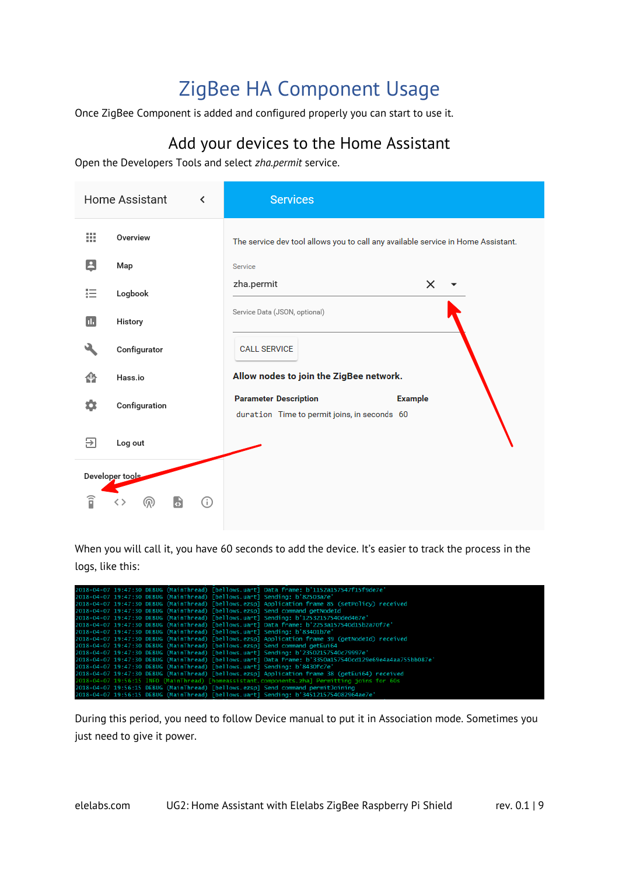## ZigBee HA Component Usage

<span id="page-8-0"></span>Once ZigBee Component is added and configured properly you can start to use it.

### Add your devices to the Home Assistant

<span id="page-8-1"></span>Open the Developers Tools and select *zha.permit* service.

|                | Home Assistant<br>≺ | <b>Services</b>                                                                                |
|----------------|---------------------|------------------------------------------------------------------------------------------------|
| 排              | Overview            | The service dev tool allows you to call any available service in Home Assistant.               |
| 8              | Map                 | Service                                                                                        |
| 挂              | Logbook             | zha.permit<br>×                                                                                |
| $\blacksquare$ | History             | Service Data (JSON, optional)                                                                  |
|                | Configurator        | <b>CALL SERVICE</b>                                                                            |
| 命              | Hass.io             | Allow nodes to join the ZigBee network.                                                        |
| ۰              | Configuration       | <b>Parameter Description</b><br><b>Example</b><br>duration Time to permit joins, in seconds 60 |
| 9              | Log out             |                                                                                                |
|                | Developer tools     |                                                                                                |
| î              | G<br>⊙<br>൫         |                                                                                                |

When you will call it, you have 60 seconds to add the device. It's easier to track the process in the logs, like this:

|  |  | 2018-04-07 19:47:30 DEBUG (MainThread) [bellows.uart] Data frame: b'1152a157547f15f9de7e'               |
|--|--|---------------------------------------------------------------------------------------------------------|
|  |  | 2018-04-07 19:47:30 DEBUG (MainThread) [bellows.uart] Sending: b'82503a7e'                              |
|  |  | 2018-04-07 19:47:30 DEBUG (MainThread) [bellows.ezspl Application frame 85 (setPolicy) received         |
|  |  | 2018-04-07 19:47:30 DEBUG (MainThread) [bellows.ezsp] Send command getNodeId                            |
|  |  | 2018-04-07 19:47:30 DEBUG (MainThread) [bellows.uart] Sending: b'12532157540ded467e'                    |
|  |  | 2018-04-07 19:47:30 DEBUG (MainThread) [bellows.uart] Data frame: b'2253a157540d15b2a70f7e'             |
|  |  | 2018-04-07 19:47:30 DEBUG (MainThread) [bellows.uart] Sending: b'83401b7e'                              |
|  |  | 2018-04-07 19:47:30 DEBUG (MainThread) [bellows.ezsp] Application frame 39 (getNodeId) received         |
|  |  | 2018-04-07 19:47:30 DEBUG (MainThread) [bellows.ezsp] Send command getEui64                             |
|  |  | 2018-04-07 19:47:30 DEBUG (MainThread) [bellows.uart] Sending: b'23502157540c79997e'                    |
|  |  | 2018-04-07 19:47:30 DEBUG (MainThread) [bellows.uart] Data frame: b'3350a157540cd129e69e4a4aa755bb087e' |
|  |  | 2018-04-07 19:47:30 DEBUG (MainThread) [bellows.uart] Sending: b'8430fc7e'                              |
|  |  | 2018-04-07 19:47:30 DEBUG (MainThread) [bellows.ezsp] Application frame 38 (getEui64) received          |
|  |  | 2018-04-07 19:56:15 INFO (MainThread) [homeassistant.components.zha] Permitting joins for 60s           |
|  |  | 2018-04-07 19:56:15 DEBUG (MainThread) [bellows.ezsp] Send command permitJoining                        |
|  |  | 2018-04-07 19:56:15 DEBUG (MainThread) [bellows.uart] Sending: b'3451215754082964ae7e                   |

During this period, you need to follow Device manual to put it in Association mode. Sometimes you just need to give it power.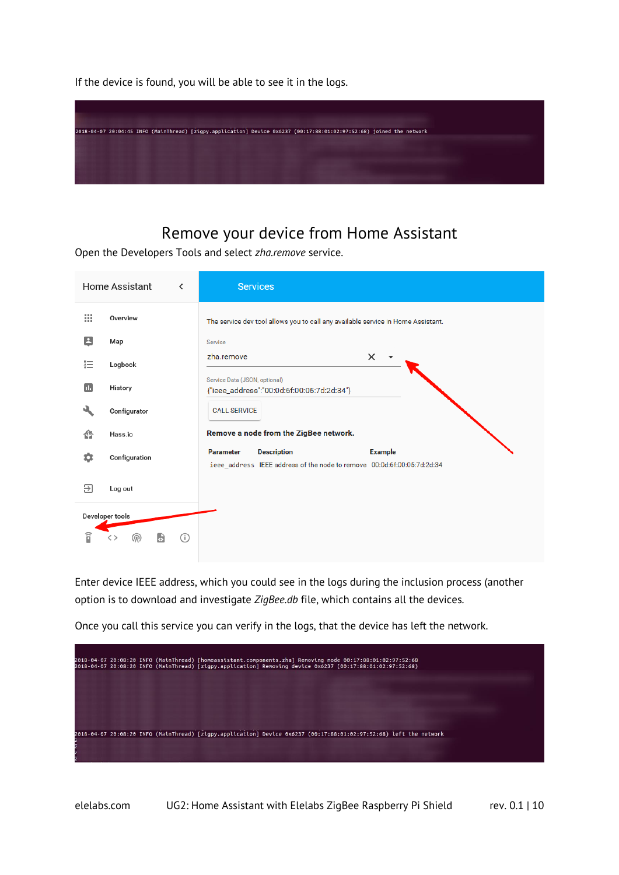If the device is found, you will be able to see it in the logs.



### Remove your device from Home Assistant

<span id="page-9-0"></span>Open the Developers Tools and select *zha.remove* service.

|   | Home Assistant<br>∢       | <b>Services</b>                                                                                                                     |
|---|---------------------------|-------------------------------------------------------------------------------------------------------------------------------------|
| ш | Overview                  | The service dev tool allows you to call any available service in Home Assistant.                                                    |
| Θ | Map                       | Service                                                                                                                             |
| 這 | Logbook                   | zha.remove<br>$\times$                                                                                                              |
| Ш | History                   | Service Data (JSON, optional)<br>{"ieee_address":"00:0d:6f:00:05:7d:2d:34"}                                                         |
|   | Configurator              | <b>CALL SERVICE</b>                                                                                                                 |
| ⋒ | Hass.io                   | Remove a node from the ZigBee network.                                                                                              |
| ✿ | Configuration             | <b>Description</b><br><b>Parameter</b><br><b>Example</b><br>ieee_address IEEE address of the node to remove 00:0d:6f:00:05:7d:2d:34 |
| ₽ | Log out                   |                                                                                                                                     |
|   | Developer tools           |                                                                                                                                     |
| î | (ග)<br>$\bullet$<br>( i ) |                                                                                                                                     |

Enter device IEEE address, which you could see in the logs during the inclusion process (another option is to download and investigate *ZigBee.db* file, which contains all the devices.

Once you call this service you can verify in the logs, that the device has left the network.

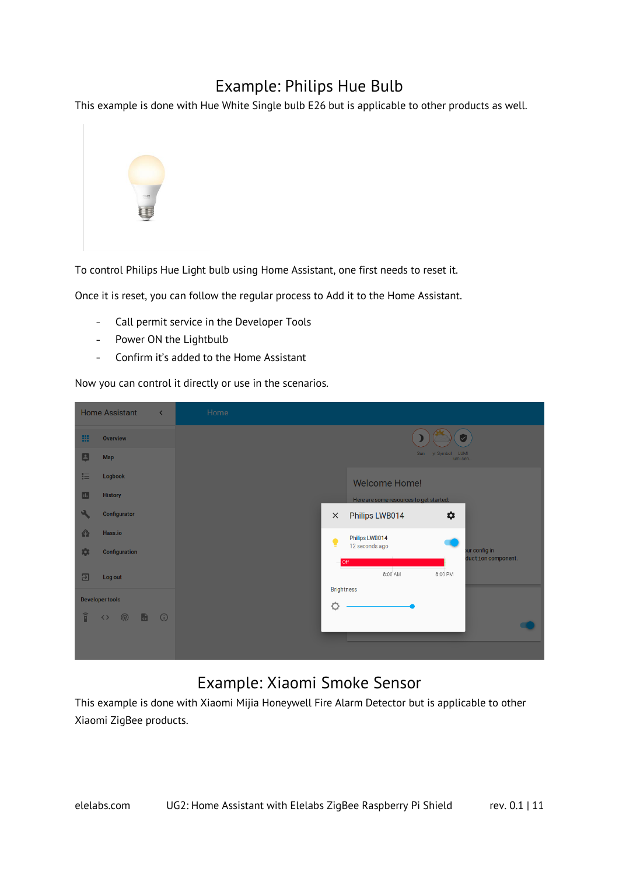### Example: Philips Hue Bulb

<span id="page-10-0"></span>This example is done with Hue White Single bulb E26 but is applicable to other products as well.



To control Philips Hue Light bulb using Home Assistant, one first needs to reset it.

Once it is reset, you can follow the regular process to Add it to the Home Assistant.

- Call permit service in the Developer Tools  $\Delta \sim 10^{-10}$
- Power ON the Lightbulb
- $\overline{a}$ Confirm it's added to the Home Assistant

Now you can control it directly or use in the scenarios.

|                        | <b>Home Assistant</b><br>$\blacktriangleleft$ | Home |          |                                         |                                |                                     |
|------------------------|-----------------------------------------------|------|----------|-----------------------------------------|--------------------------------|-------------------------------------|
| 田                      | <b>Overview</b>                               |      |          |                                         | $[\checkmark]$                 |                                     |
| 日                      | <b>Map</b>                                    |      |          |                                         | Sun yr Symbol LUMI<br>lumi.sen |                                     |
| 狂                      | Logbook                                       |      |          | <b>Welcome Home!</b>                    |                                |                                     |
| П.                     | <b>History</b>                                |      |          | Here are some resources to get started: |                                |                                     |
|                        | Configurator                                  |      | $\times$ | Philips LWB014                          | *                              |                                     |
| 脅                      | Hass.io                                       |      | ٠        | Philips LWB014                          |                                |                                     |
| *                      | <b>Configuration</b>                          |      |          | 12 seconds ago<br><b>off</b>            |                                | our config in<br>duction component. |
| 囝                      | Log out                                       |      |          | 8:00 AM                                 | 8:00 PM                        |                                     |
|                        | <b>Developer tools</b>                        |      |          | <b>Brightness</b>                       |                                |                                     |
| $\widehat{\mathsf{n}}$ | $\bullet$ 0<br>,<br>$\langle \ \rangle$       |      | Ó        |                                         |                                |                                     |
|                        |                                               |      |          |                                         |                                |                                     |
|                        |                                               |      |          |                                         |                                |                                     |

### Example: Xiaomi Smoke Sensor

<span id="page-10-1"></span>This example is done with Xiaomi Mijia Honeywell Fire Alarm Detector but is applicable to other Xiaomi ZigBee products.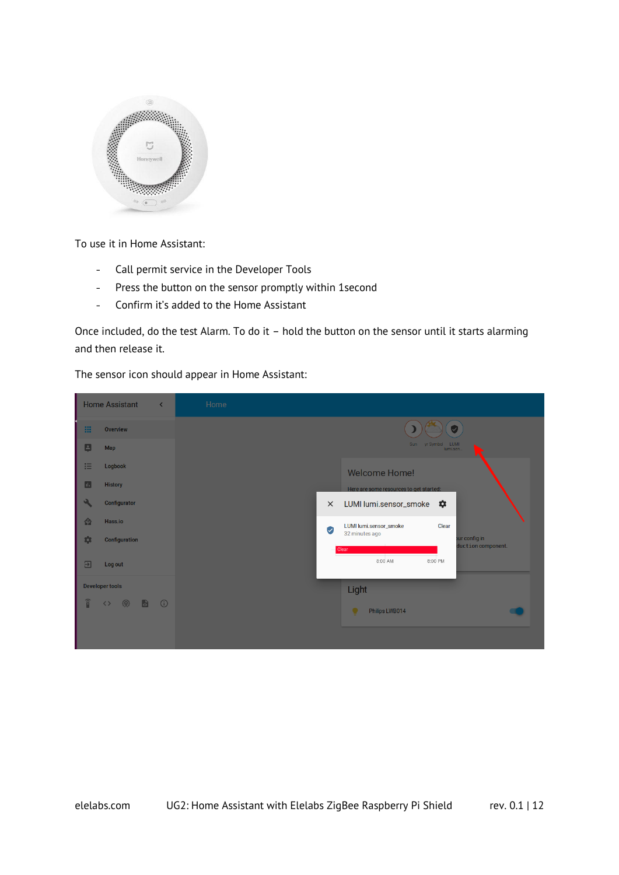

To use it in Home Assistant:

- Call permit service in the Developer Tools  $\omega_{\rm{eff}}$
- Press the button on the sensor promptly within 1second  $\omega_{\rm{max}}$
- Confirm it's added to the Home Assistant  $\sim$

Once included, do the test Alarm. To do it – hold the button on the sensor until it starts alarming and then release it.

The sensor icon should appear in Home Assistant:

|                         | <b>Home Assistant</b><br>$\left\langle \right\rangle$ | Home |                                                                |
|-------------------------|-------------------------------------------------------|------|----------------------------------------------------------------|
| 田                       | <b>Overview</b>                                       |      | $\omega$                                                       |
| B                       | <b>Map</b>                                            |      | Sun yr Symbol LUMI<br>lumi.sen                                 |
| 挂                       | Logbook                                               |      | <b>Welcome Home!</b>                                           |
| $\blacksquare$          | <b>History</b>                                        |      | Here are some resources to get started:                        |
| ٩                       | <b>Configurator</b>                                   |      | LUMI lumi.sensor_smoke $\clubsuit$<br>$\times$                 |
| 脅                       | Hass.io                                               |      | Clear<br>LUMI lumi.sensor_smoke<br>Ø                           |
| \$                      | <b>Configuration</b>                                  |      | 32 minutes ago<br>our config in<br>duction component.<br>Clear |
| $\overline{\mathbf{E}}$ | Log out                                               |      | 8:00 AM<br>8:00 PM                                             |
|                         | <b>Developer tools</b>                                |      | Light                                                          |
| $\widehat{\mathbf{p}}$  | $\bullet$<br>ଭ<br><u>ා</u> (6<br>$\langle \ \rangle$  |      | $\bullet$<br>Philips LWB014                                    |
|                         |                                                       |      |                                                                |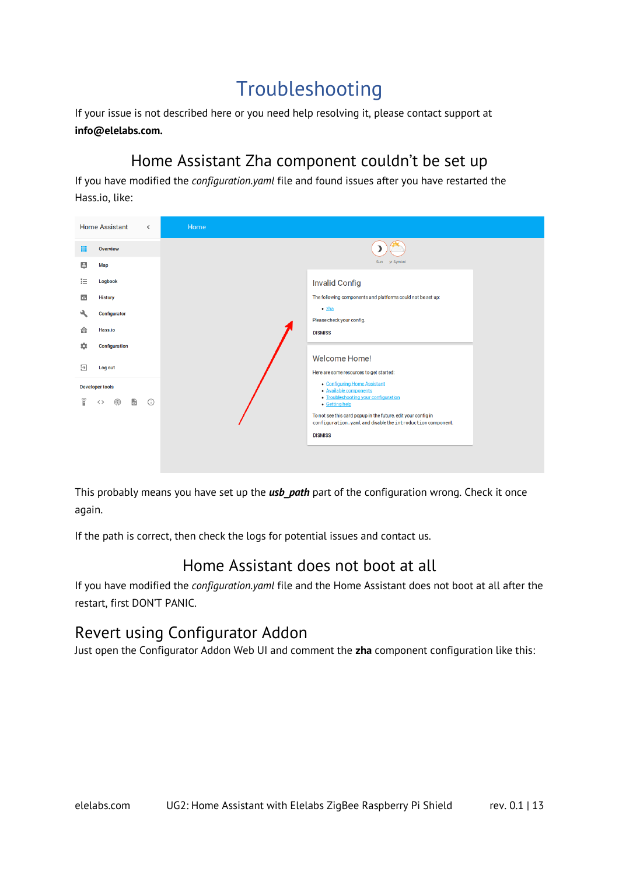### Troubleshooting

<span id="page-12-0"></span>If your issue is not described here or you need help resolving it, please contact support at **info@elelabs.com.**

### Home Assistant Zha component couldn't be set up

<span id="page-12-1"></span>If you have modified the *configuration.yaml* file and found issues after you have restarted the Hass.io, like:

|                        | <b>Home Assistant</b>     | $\overline{\phantom{a}}$ | Home                                                                             |
|------------------------|---------------------------|--------------------------|----------------------------------------------------------------------------------|
| 噩                      | Overview                  |                          |                                                                                  |
| Θ                      | <b>Map</b>                |                          | Sun yr Symbol                                                                    |
| 辷                      | Logbook                   |                          | <b>Invalid Config</b>                                                            |
| 画                      | <b>History</b>            |                          | The following components and platforms could not be set up:                      |
| ىك                     | Configurator              |                          | $\bullet$ zha<br>Please check your config.                                       |
| ⋒                      | Hass.io                   |                          | <b>DISMISS</b>                                                                   |
| 森                      | <b>Configuration</b>      |                          |                                                                                  |
| ₽                      | Log out                   |                          | <b>Welcome Home!</b>                                                             |
|                        | <b>Developer tools</b>    |                          | Here are some resources to get started:<br>• Configuring Home Assistant          |
| $\widehat{\mathbb{I}}$ | $\blacksquare$<br>⋒<br>くゝ | $\odot$                  | • Available components<br>• Troubleshooting your configuration<br>• Getting help |
|                        |                           |                          | To not see this card popup in the future, edit your config in                    |
|                        |                           |                          | configuration.yaml and disable the introduction component.                       |
|                        |                           |                          | <b>DISMISS</b>                                                                   |
|                        |                           |                          |                                                                                  |
|                        |                           |                          |                                                                                  |

This probably means you have set up the *usb\_path* part of the configuration wrong. Check it once again.

If the path is correct, then check the logs for potential issues and contact us.

### Home Assistant does not boot at all

<span id="page-12-2"></span>If you have modified the *configuration.yaml* file and the Home Assistant does not boot at all after the restart, first DON'T PANIC.

### <span id="page-12-3"></span>Revert using Configurator Addon

Just open the Configurator Addon Web UI and comment the **zha** component configuration like this: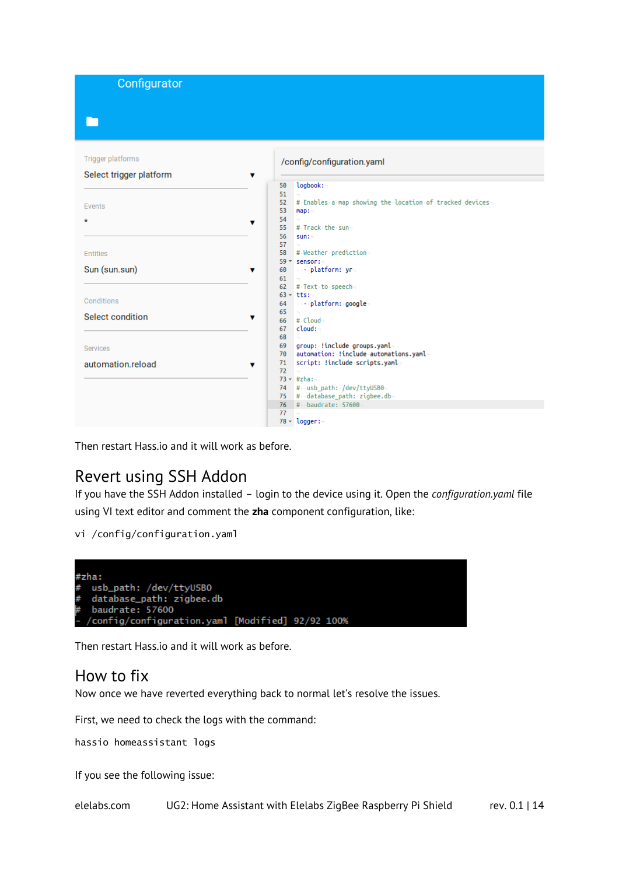Configurator

#### **Trigger platforms**

#### /config/configuration.yaml

| Select trigger platform | ▼                                                              |
|-------------------------|----------------------------------------------------------------|
|                         | logbook:-<br>50                                                |
|                         | 51                                                             |
|                         | # Enables a map showing the location of tracked devices-<br>52 |
| Events                  | 53<br>map:                                                     |
| $\star$                 | 54                                                             |
|                         | ▼<br>55<br># Track the sun-                                    |
|                         | 56<br>sum:                                                     |
|                         | 57                                                             |
| <b>Entities</b>         | # Weather prediction-<br>58                                    |
|                         | $59 -$ sensor:                                                 |
| Sun (sun.sun)           | →→→ platform: ·yr¬<br>60<br>▼                                  |
|                         | 61                                                             |
|                         | 62<br># Text to speech-                                        |
|                         | $63 - \text{tts}$ :                                            |
| Conditions              | ----platform: google-<br>64                                    |
| Select condition        | 65                                                             |
|                         | ▼<br>$#$ -Cloud-<br>66                                         |
|                         | cloud:~<br>67                                                  |
|                         | 68                                                             |
| Services                | group: !include groups.yaml-<br>69                             |
|                         | automation: !include automations.yaml-<br>$70^{\circ}$         |
| automation.reload       | script: !include scripts.yaml-<br>71<br>v                      |
|                         | 72                                                             |
|                         | $73 - #zha:-$                                                  |
|                         | # usb_path: /dev/ttyUSB0-<br>74                                |
|                         | # database_path: zigbee.db-<br>75                              |
|                         | # baudrate: 57600<br>76                                        |
|                         | 77                                                             |
|                         | $78 - \text{logger}$ :                                         |

Then restart Hass.io and it will work as before.

#### <span id="page-13-0"></span>Revert using SSH Addon

If you have the SSH Addon installed – login to the device using it. Open the *configuration.yaml* file using VI text editor and comment the **zha** component configuration, like:

vi /config/configuration.yaml



Then restart Hass.io and it will work as before.

#### <span id="page-13-1"></span>How to fix

Now once we have reverted everything back to normal let's resolve the issues.

First, we need to check the logs with the command:

hassio homeassistant logs

If you see the following issue: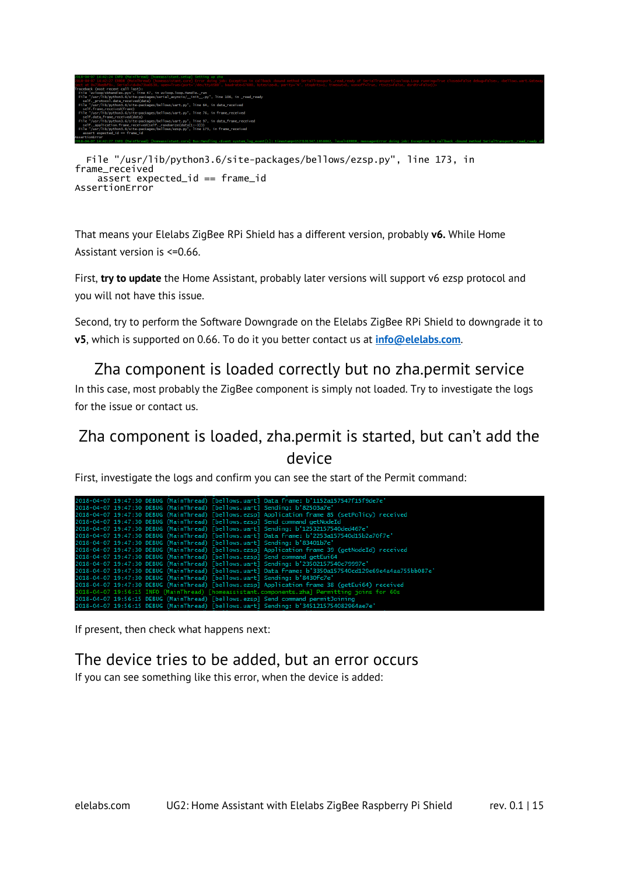

```
 File "/usr/lib/python3.6/site-packages/bellows/ezsp.py", line 173, in 
frame_received
     assert expected_id == frame_id
AssertionError
```
That means your Elelabs ZigBee RPi Shield has a different version, probably **v6.** While Home Assistant version is <=0.66.

First, **try to update** the Home Assistant, probably later versions will support v6 ezsp protocol and you will not have this issue.

Second, try to perform the Software Downgrade on the Elelabs ZigBee RPi Shield to downgrade it to **v5**, which is supported on 0.66. To do it you better contact us at **[info@elelabs.com](mailto:info@elelabs.com)**.

### <span id="page-14-0"></span>Zha component is loaded correctly but no zha.permit service

In this case, most probably the ZigBee component is simply not loaded. Try to investigate the logs for the issue or contact us.

### <span id="page-14-1"></span>Zha component is loaded, zha.permit is started, but can't add the device

First, investigate the logs and confirm you can see the start of the Permit command:

|  |  | 2018-04-07 19:47:30 DEBUG (MainThread) [bellows.uart] Data frame: b'1152a157547f15f9de7e'               |
|--|--|---------------------------------------------------------------------------------------------------------|
|  |  | 2018-04-07 19:47:30 DEBUG (MainThread) [bellows.uart] Sending: b'82503a7e'                              |
|  |  | 2018-04-07 19:47:30 DEBUG (MainThread) [bellows.ezspl Application frame 85 (setPolicy) received         |
|  |  | 2018-04-07 19:47:30 DEBUG (MainThread) [bellows.ezsp] Send command getNodeId                            |
|  |  | 2018-04-07 19:47:30 DEBUG (MainThread) [bellows.uart] Sending: b'12532157540ded467e'                    |
|  |  | 2018-04-07 19:47:30 DEBUG (MainThread) [bellows.uart] Data frame: b'2253a157540d15b2a70f7e'             |
|  |  | 2018-04-07 19:47:30 DEBUG (MainThread) [bellows.uart] Sending: b'83401b7e'                              |
|  |  | 2018-04-07 19:47:30 DEBUG (MainThread) [bellows.ezsp] Application frame 39 (getNodeId) received         |
|  |  | 2018-04-07 19:47:30 DEBUG (MainThread) [bellows.ezsp] Send command getEui64                             |
|  |  | 2018-04-07 19:47:30 DEBUG (MainThread) [bellows.uart] Sending: b'23502157540c79997e'                    |
|  |  | 2018-04-07 19:47:30 DEBUG (MainThread) [bellows.uart] Data frame: b'3350a157540cd129e69e4a4aa755bb087e' |
|  |  | 2018-04-07 19:47:30 DEBUG (MainThread) [bellows.uart] Sending: b'8430fc7e'                              |
|  |  | 2018-04-07 19:47:30 DEBUG (MainThread) [bellows.ezsp] Application frame 38 (getEui64) received          |
|  |  | 2018-04-07 19:56:15 INFO (MainThread) [homeassistant.components.zha] Permitting joins for 60s           |
|  |  | 2018-04-07 19:56:15 DEBUG (MainThread) [bellows.ezsp] Send command permitJoining                        |
|  |  | 2018-04-07 19:56:15 DEBUG (MainThread) [bellows.uart] Sending: b'3451215754082964ae7e'                  |
|  |  |                                                                                                         |

If present, then check what happens next:

#### <span id="page-14-2"></span>The device tries to be added, but an error occurs

If you can see something like this error, when the device is added: